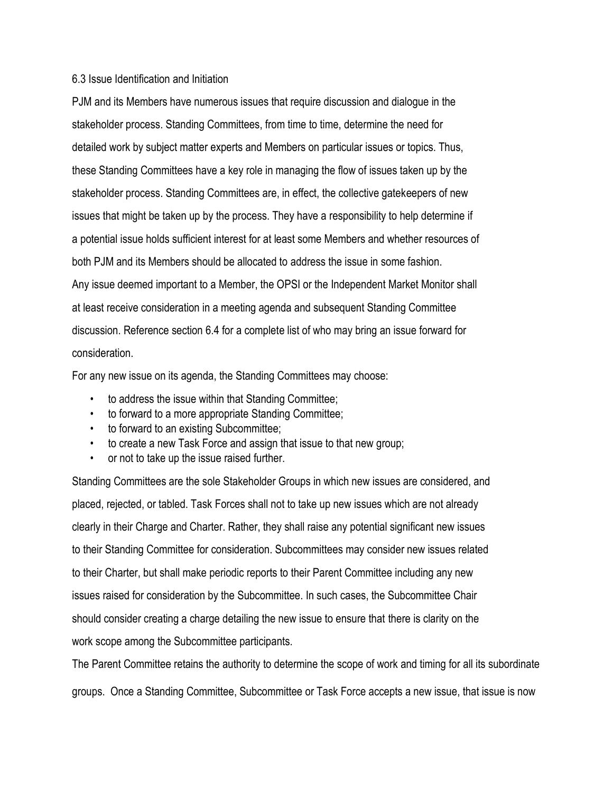## 6.3 Issue Identification and Initiation

PJM and its Members have numerous issues that require discussion and dialogue in the stakeholder process. Standing Committees, from time to time, determine the need for detailed work by subject matter experts and Members on particular issues or topics. Thus, these Standing Committees have a key role in managing the flow of issues taken up by the stakeholder process. Standing Committees are, in effect, the collective gatekeepers of new issues that might be taken up by the process. They have a responsibility to help determine if a potential issue holds sufficient interest for at least some Members and whether resources of both PJM and its Members should be allocated to address the issue in some fashion. Any issue deemed important to a Member, the OPSI or the Independent Market Monitor shall at least receive consideration in a meeting agenda and subsequent Standing Committee discussion. Reference section 6.4 for a complete list of who may bring an issue forward for consideration.

For any new issue on its agenda, the Standing Committees may choose:

- to address the issue within that Standing Committee;
- to forward to a more appropriate Standing Committee;
- to forward to an existing Subcommittee;
- to create a new Task Force and assign that issue to that new group;
- or not to take up the issue raised further.

Standing Committees are the sole Stakeholder Groups in which new issues are considered, and placed, rejected, or tabled. Task Forces shall not to take up new issues which are not already clearly in their Charge and Charter. Rather, they shall raise any potential significant new issues to their Standing Committee for consideration. Subcommittees may consider new issues related to their Charter, but shall make periodic reports to their Parent Committee including any new issues raised for consideration by the Subcommittee. In such cases, the Subcommittee Chair should consider creating a charge detailing the new issue to ensure that there is clarity on the work scope among the Subcommittee participants.

The Parent Committee retains the authority to determine the scope of work and timing for all its subordinate groups. Once a Standing Committee, Subcommittee or Task Force accepts a new issue, that issue is now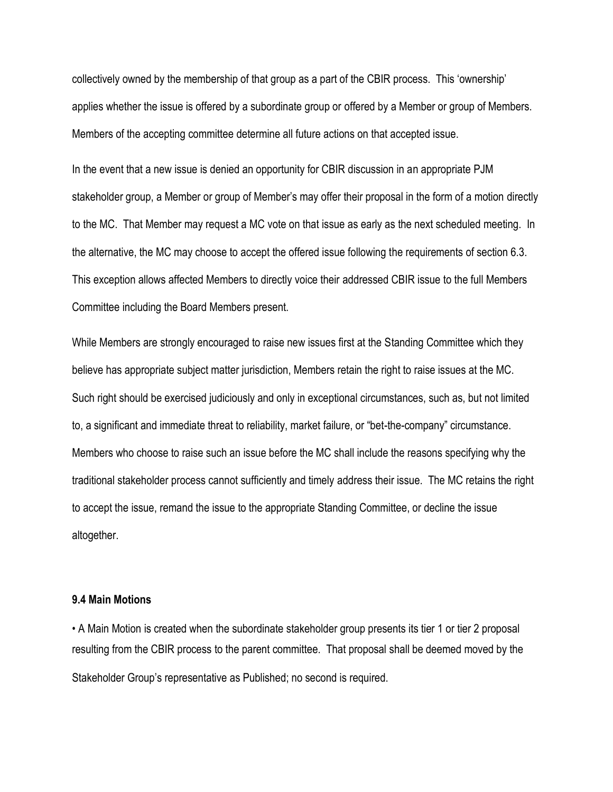collectively owned by the membership of that group as a part of the CBIR process. This 'ownership' applies whether the issue is offered by a subordinate group or offered by a Member or group of Members. Members of the accepting committee determine all future actions on that accepted issue.

In the event that a new issue is denied an opportunity for CBIR discussion in an appropriate PJM stakeholder group, a Member or group of Member's may offer their proposal in the form of a motion directly to the MC. That Member may request a MC vote on that issue as early as the next scheduled meeting. In the alternative, the MC may choose to accept the offered issue following the requirements of section 6.3. This exception allows affected Members to directly voice their addressed CBIR issue to the full Members Committee including the Board Members present.

While Members are strongly encouraged to raise new issues first at the Standing Committee which they believe has appropriate subject matter jurisdiction, Members retain the right to raise issues at the MC. Such right should be exercised judiciously and only in exceptional circumstances, such as, but not limited to, a significant and immediate threat to reliability, market failure, or "bet-the-company" circumstance. Members who choose to raise such an issue before the MC shall include the reasons specifying why the traditional stakeholder process cannot sufficiently and timely address their issue. The MC retains the right to accept the issue, remand the issue to the appropriate Standing Committee, or decline the issue altogether.

## **9.4 Main Motions**

• A Main Motion is created when the subordinate stakeholder group presents its tier 1 or tier 2 proposal resulting from the CBIR process to the parent committee. That proposal shall be deemed moved by the Stakeholder Group's representative as Published; no second is required.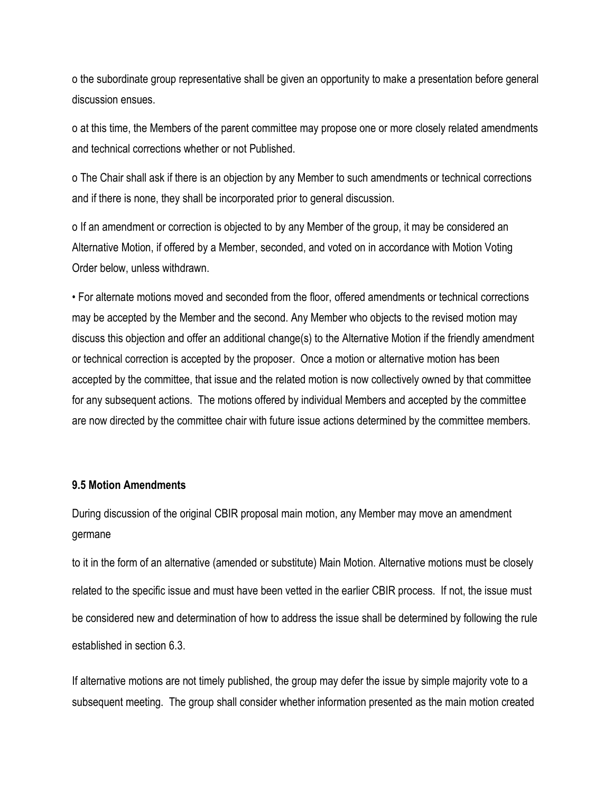o the subordinate group representative shall be given an opportunity to make a presentation before general discussion ensues.

o at this time, the Members of the parent committee may propose one or more closely related amendments and technical corrections whether or not Published.

o The Chair shall ask if there is an objection by any Member to such amendments or technical corrections and if there is none, they shall be incorporated prior to general discussion.

o If an amendment or correction is objected to by any Member of the group, it may be considered an Alternative Motion, if offered by a Member, seconded, and voted on in accordance with Motion Voting Order below, unless withdrawn.

• For alternate motions moved and seconded from the floor, offered amendments or technical corrections may be accepted by the Member and the second. Any Member who objects to the revised motion may discuss this objection and offer an additional change(s) to the Alternative Motion if the friendly amendment or technical correction is accepted by the proposer. Once a motion or alternative motion has been accepted by the committee, that issue and the related motion is now collectively owned by that committee for any subsequent actions. The motions offered by individual Members and accepted by the committee are now directed by the committee chair with future issue actions determined by the committee members.

## **9.5 Motion Amendments**

During discussion of the original CBIR proposal main motion, any Member may move an amendment germane

to it in the form of an alternative (amended or substitute) Main Motion. Alternative motions must be closely related to the specific issue and must have been vetted in the earlier CBIR process. If not, the issue must be considered new and determination of how to address the issue shall be determined by following the rule established in section 6.3.

If alternative motions are not timely published, the group may defer the issue by simple majority vote to a subsequent meeting. The group shall consider whether information presented as the main motion created